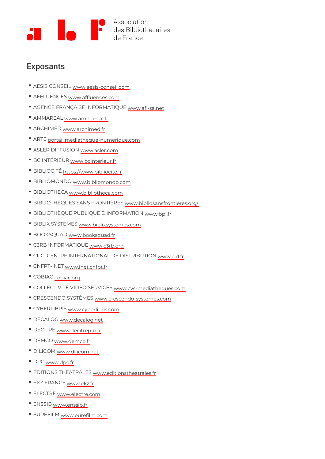## Exposants

- AESIS CON <u>& Lwk.aesis-conse</u>il.com
- AFFLUEN CwEwSw.affluences.com
- AGENCE FRANÇAISE INFORMMANT. 6 Q IU Ea. net
- AMMARE Awww.ammareal.fr
- ARCHIME<sub>W</sub>D<sub>W</sub> w.archimed.fr
- ART *portail.mediatheque-numerique.com*
- ASLER DIFFU<u>SylvQwNasler.</u>com
- BC INTÉRI<u>LWR, bcinteri</u>eur.fr
- BIBLIOC hTtÉp <u>s ://w w w . b i b l i</u> o c i t e . f r
- BIBLIOMONQQw.bibliomondo.com
- BIBLIOTHE<sub>W</sub>Cw<sup>L</sup>w.bibliotheca.com
- BIBLIOTHÈQUES SANS FR<u>QWW!虧Rb日 Spsansfrontie</u>res.org/
- BIBLIOTHÈQUE PUBLIQUE D'INFORMAJION
- BIBLIX SYSTLWLShiblixsystemes.com
- BOOKSQU <u>Ay Dy w . b o o k s q u</u> a d . f r
- C3RB INFORMATwQwEc3rb.org
- CID CENTRE INTERNATIONAL DE QUE RESIBUTION
- CNFPT-INWEWTw.inet.cnfpt.fr
- COBIA<sub>S</sub>obiac.org
- COLLECTIVITÉ VIDÉO SNEWRWY. LG ESmediatheques.com
- CRESCENDO SYS<u>TwÈwWE&rescendo-system</u>es.com
- CYBERLIBRWSw.cyberlibris.com
- DECALO<sub>W</sub>Gww.decalog.net
- DECITR<sub>W</sub>E<sub>W</sub> w.decitrepro.fr
- DEMCQww.demco.fr
- DILICOWww.dilicom.net
- DPCwww.dpc.fr
- ÉDITIONS THÉÂTŖ☆WEぷditionstheatrales.fr
- EKZ FRAN<sub>V</sub>C<sub>W</sub>E<sub>W . ekz.fr</sub>
- ELECTRwEw<u>w.electre</u>.com
- ENSSWBww.enssib.fr
- EUREFILMM<sub>VW.eurefilm.com</sub>